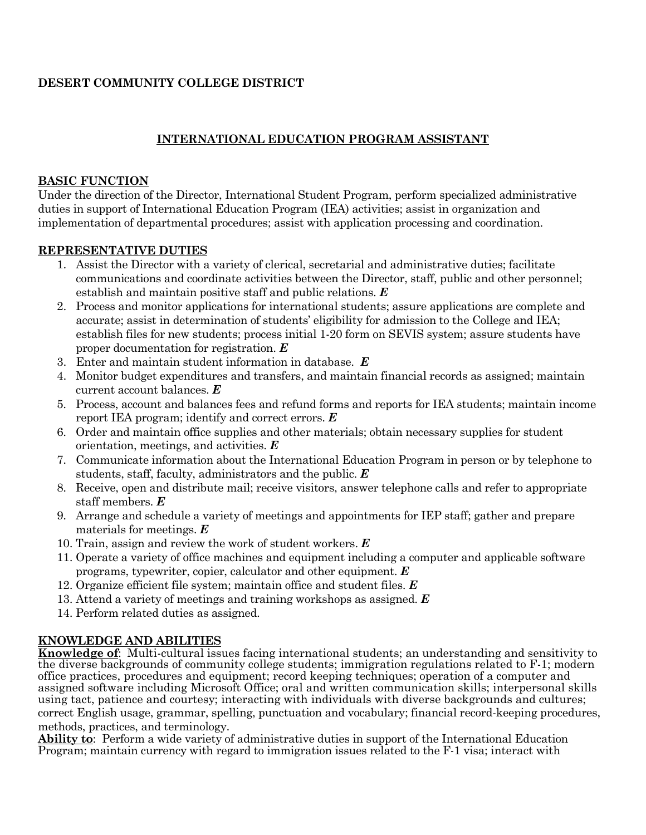## **DESERT COMMUNITY COLLEGE DISTRICT**

# **INTERNATIONAL EDUCATION PROGRAM ASSISTANT**

#### **BASIC FUNCTION**

Under the direction of the Director, International Student Program, perform specialized administrative duties in support of International Education Program (IEA) activities; assist in organization and implementation of departmental procedures; assist with application processing and coordination.

## **REPRESENTATIVE DUTIES**

- 1. Assist the Director with a variety of clerical, secretarial and administrative duties; facilitate communications and coordinate activities between the Director, staff, public and other personnel; establish and maintain positive staff and public relations. *E*
- 2. Process and monitor applications for international students; assure applications are complete and accurate; assist in determination of students' eligibility for admission to the College and IEA; establish files for new students; process initial 1-20 form on SEVIS system; assure students have proper documentation for registration. *E*
- 3. Enter and maintain student information in database. *E*
- 4. Monitor budget expenditures and transfers, and maintain financial records as assigned; maintain current account balances. *E*
- 5. Process, account and balances fees and refund forms and reports for IEA students; maintain income report IEA program; identify and correct errors. *E*
- 6. Order and maintain office supplies and other materials; obtain necessary supplies for student orientation, meetings, and activities. *E*
- 7. Communicate information about the International Education Program in person or by telephone to students, staff, faculty, administrators and the public. *E*
- 8. Receive, open and distribute mail; receive visitors, answer telephone calls and refer to appropriate staff members. *E*
- 9. Arrange and schedule a variety of meetings and appointments for IEP staff; gather and prepare materials for meetings. *E*
- 10. Train, assign and review the work of student workers. *E*
- 11. Operate a variety of office machines and equipment including a computer and applicable software programs, typewriter, copier, calculator and other equipment. *E*
- 12. Organize efficient file system; maintain office and student files. *E*
- 13. Attend a variety of meetings and training workshops as assigned. *E*
- 14. Perform related duties as assigned.

## **KNOWLEDGE AND ABILITIES**

**Knowledge of**: Multi-cultural issues facing international students; an understanding and sensitivity to the diverse backgrounds of community college students; immigration regulations related to F-1; modern office practices, procedures and equipment; record keeping techniques; operation of a computer and assigned software including Microsoft Office; oral and written communication skills; interpersonal skills using tact, patience and courtesy; interacting with individuals with diverse backgrounds and cultures; correct English usage, grammar, spelling, punctuation and vocabulary; financial record-keeping procedures, methods, practices, and terminology.

**Ability to**: Perform a wide variety of administrative duties in support of the International Education Program; maintain currency with regard to immigration issues related to the F-1 visa; interact with